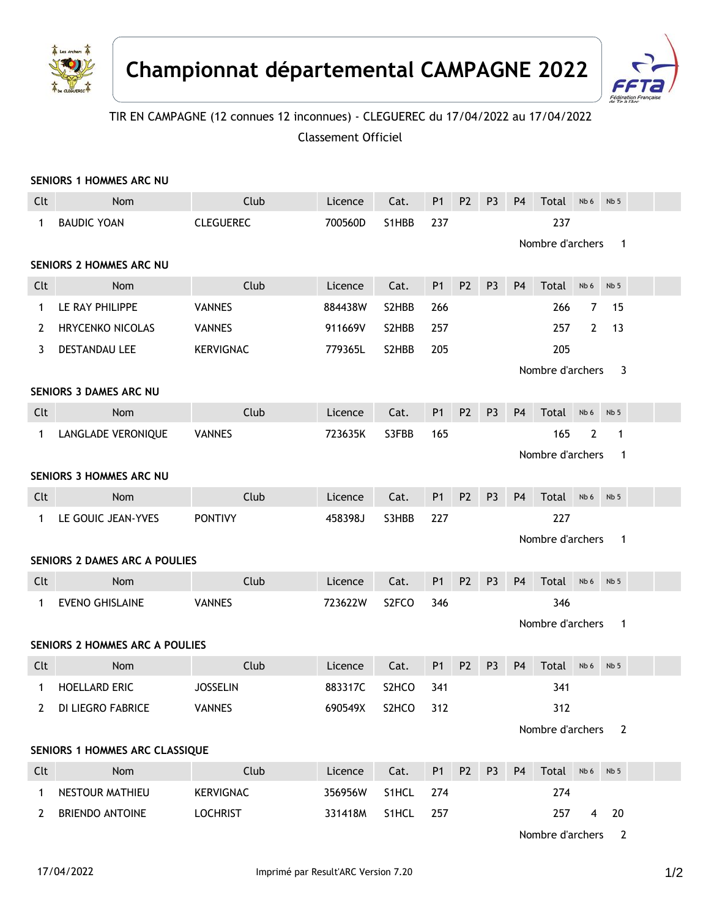



## TIR EN CAMPAGNE (12 connues 12 inconnues) - CLEGUEREC du 17/04/2022 au 17/04/2022 Classement Officiel

|                                  | SENIORS 1 HOMMES ARC NU               |                                                  |         |                    |                |                |                       |                                  |                  |                |                 |  |  |  |
|----------------------------------|---------------------------------------|--------------------------------------------------|---------|--------------------|----------------|----------------|-----------------------|----------------------------------|------------------|----------------|-----------------|--|--|--|
| Clt                              | Nom                                   | Club                                             | Licence | Cat.               | P <sub>1</sub> | P <sub>2</sub> | P <sub>3</sub>        | <b>P4</b>                        | Total            | Nb 6           | Nb <sub>5</sub> |  |  |  |
| $\mathbf{1}$                     | <b>BAUDIC YOAN</b>                    | <b>CLEGUEREC</b>                                 | 700560D | S1HBB              | 237            |                |                       | 237                              |                  |                |                 |  |  |  |
| Nombre d'archers<br>$\mathbf{1}$ |                                       |                                                  |         |                    |                |                |                       |                                  |                  |                |                 |  |  |  |
| <b>SENIORS 2 HOMMES ARC NU</b>   |                                       |                                                  |         |                    |                |                |                       |                                  |                  |                |                 |  |  |  |
| Clt                              | Nom                                   | Club                                             | Licence | Cat.               | P <sub>1</sub> | P <sub>2</sub> | P <sub>3</sub>        | P <sub>4</sub>                   | Total            | Nb 6           | Nb <sub>5</sub> |  |  |  |
| 1                                | LE RAY PHILIPPE                       | <b>VANNES</b>                                    | 884438W | S2HBB              | 266            |                |                       |                                  | 266              | $\overline{7}$ | 15              |  |  |  |
| 2                                | <b>HRYCENKO NICOLAS</b>               | <b>VANNES</b>                                    | 911669V | S2HBB              | 257            |                |                       |                                  | 257              | 2              | 13              |  |  |  |
| 3                                | <b>DESTANDAU LEE</b>                  | <b>KERVIGNAC</b>                                 | 779365L | S2HBB              | 205            |                |                       |                                  | 205              |                |                 |  |  |  |
|                                  |                                       |                                                  |         |                    |                |                | Nombre d'archers<br>3 |                                  |                  |                |                 |  |  |  |
| <b>SENIORS 3 DAMES ARC NU</b>    |                                       |                                                  |         |                    |                |                |                       |                                  |                  |                |                 |  |  |  |
| Clt                              | Nom                                   | Club                                             | Licence | Cat.               | <b>P1</b>      | P <sub>2</sub> | P <sub>3</sub>        | P <sub>4</sub>                   | Total            | Nb 6           | Nb <sub>5</sub> |  |  |  |
| $\mathbf{1}$                     | LANGLADE VERONIQUE                    | <b>VANNES</b>                                    | 723635K | S3FBB              | 165            |                |                       |                                  | 165              | 2              | $\mathbf{1}$    |  |  |  |
|                                  |                                       |                                                  |         |                    |                |                |                       |                                  | Nombre d'archers |                | $\mathbf{1}$    |  |  |  |
| <b>SENIORS 3 HOMMES ARC NU</b>   |                                       |                                                  |         |                    |                |                |                       |                                  |                  |                |                 |  |  |  |
| Clt                              | Nom                                   | Club                                             | Licence | Cat.               | <b>P1</b>      | P <sub>2</sub> | P <sub>3</sub>        | P <sub>4</sub>                   | Total            | Nb 6           | Nb <sub>5</sub> |  |  |  |
| 1                                | LE GOUIC JEAN-YVES                    | <b>PONTIVY</b><br>458398J<br>S3HBB<br>227<br>227 |         |                    |                |                |                       |                                  |                  |                |                 |  |  |  |
| Nombre d'archers                 |                                       |                                                  |         |                    |                |                | $\mathbf{1}$          |                                  |                  |                |                 |  |  |  |
|                                  | <b>SENIORS 2 DAMES ARC A POULIES</b>  |                                                  |         |                    |                |                |                       |                                  |                  |                |                 |  |  |  |
| Clt                              | Nom                                   | Club                                             | Licence | Cat.               | P <sub>1</sub> | P <sub>2</sub> | P <sub>3</sub>        | <b>P4</b>                        | Total            | Nb 6           | Nb <sub>5</sub> |  |  |  |
| 1                                | <b>EVENO GHISLAINE</b>                | <b>VANNES</b>                                    | 723622W | S <sub>2</sub> FCO | 346            |                |                       |                                  | 346              |                |                 |  |  |  |
|                                  |                                       |                                                  |         |                    |                |                |                       | Nombre d'archers<br>$\mathbf{1}$ |                  |                |                 |  |  |  |
|                                  | <b>SENIORS 2 HOMMES ARC A POULIES</b> |                                                  |         |                    |                |                |                       |                                  |                  |                |                 |  |  |  |
| Clt                              | Nom                                   | Club                                             | Licence | Cat.               | P <sub>1</sub> | P <sub>2</sub> | P <sub>3</sub>        | P <sub>4</sub>                   | Total            | Nb 6           | Nb <sub>5</sub> |  |  |  |
| $\mathbf 1$                      | <b>HOELLARD ERIC</b>                  | <b>JOSSELIN</b>                                  | 883317C | S <sub>2</sub> HCO | 341            |                |                       |                                  | 341              |                |                 |  |  |  |
| $\mathbf{2}^{\prime}$            | DI LIEGRO FABRICE                     | <b>VANNES</b>                                    | 690549X | S <sub>2</sub> HCO | 312            |                |                       |                                  | 312              |                |                 |  |  |  |
|                                  |                                       |                                                  |         |                    |                |                |                       |                                  | Nombre d'archers |                | $\overline{2}$  |  |  |  |
| SENIORS 1 HOMMES ARC CLASSIQUE   |                                       |                                                  |         |                    |                |                |                       |                                  |                  |                |                 |  |  |  |
| Clt                              | Nom                                   | Club                                             | Licence | Cat.               | P <sub>1</sub> | P <sub>2</sub> | P <sub>3</sub>        | P <sub>4</sub>                   | Total            | Nb 6           | Nb <sub>5</sub> |  |  |  |
| $\mathbf{1}$                     | NESTOUR MATHIEU                       | <b>KERVIGNAC</b>                                 | 356956W | S1HCL              | 274            |                |                       |                                  | 274              |                |                 |  |  |  |
| $\mathbf{2}^{\prime}$            | <b>BRIENDO ANTOINE</b>                | <b>LOCHRIST</b>                                  | 331418M | S1HCL              | 257            |                |                       |                                  | 257              |                | 4 20            |  |  |  |
|                                  |                                       |                                                  |         |                    |                |                |                       |                                  |                  |                |                 |  |  |  |

Nombre d'archers 2